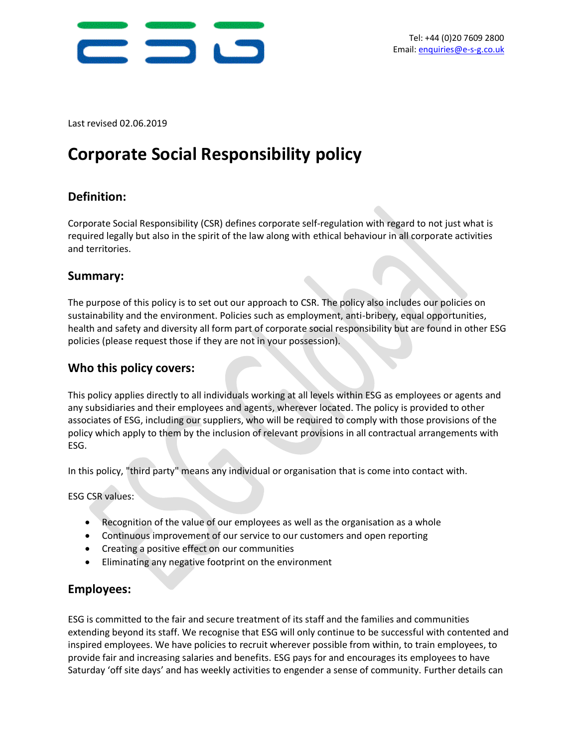

Last revised 02.06.2019

# **Corporate Social Responsibility policy**

## **Definition:**

Corporate Social Responsibility (CSR) defines corporate self-regulation with regard to not just what is required legally but also in the spirit of the law along with ethical behaviour in all corporate activities and territories.

### **Summary:**

The purpose of this policy is to set out our approach to CSR. The policy also includes our policies on sustainability and the environment. Policies such as employment, anti-bribery, equal opportunities, health and safety and diversity all form part of corporate social responsibility but are found in other ESG policies (please request those if they are not in your possession).

## **Who this policy covers:**

This policy applies directly to all individuals working at all levels within ESG as employees or agents and any subsidiaries and their employees and agents, wherever located. The policy is provided to other associates of ESG, including our suppliers, who will be required to comply with those provisions of the policy which apply to them by the inclusion of relevant provisions in all contractual arrangements with ESG.

In this policy, "third party" means any individual or organisation that is come into contact with.

ESG CSR values:

- Recognition of the value of our employees as well as the organisation as a whole
- Continuous improvement of our service to our customers and open reporting
- Creating a positive effect on our communities
- Eliminating any negative footprint on the environment

#### **Employees:**

ESG is committed to the fair and secure treatment of its staff and the families and communities extending beyond its staff. We recognise that ESG will only continue to be successful with contented and inspired employees. We have policies to recruit wherever possible from within, to train employees, to provide fair and increasing salaries and benefits. ESG pays for and encourages its employees to have Saturday 'off site days' and has weekly activities to engender a sense of community. Further details can